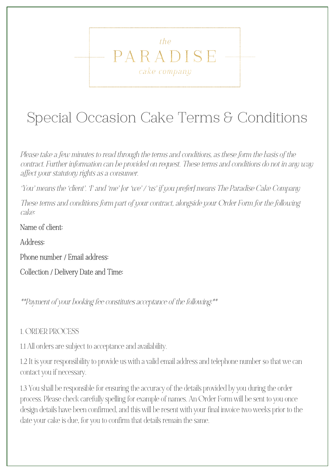Special Occasion Cake Terms & Conditions

 $th\rho$ 

PARADISE

cake company

*Please take a few minutes to read through the terms and conditions, as these form the basis of the contract. Further information can be provided on request. These terms and conditions do not in any way affect your statutory rights as a consumer.*

*'You' means the 'client'. 'I' and 'me' [or 'we' / 'us' if you prefer] means The Paradise Cake Company* 

*These terms and conditions form part of your contract, alongside your Order Form for the following cake:*

Name of client:

Address:

Phone number / Email address:

Collection / Delivery Date and Time:

\*\*Payment of your booking fee constitutes acceptance of the following:\*\*

#### 1. ORDER PROCESS

1.1 All orders are subject to acceptance and availability.

1.2 It is your responsibility to provide us with a valid email address and telephone number so that we can contact you if necessary.

1.3 You shall be responsible for ensuring the accuracy of the details provided by you during the order process. Please check carefully spelling for example of names. An Order Form will be sent to you once design details have been confirmed, and this will be resent with your final invoice two weeks prior to the date your cake is due, for you to confirm that details remain the same.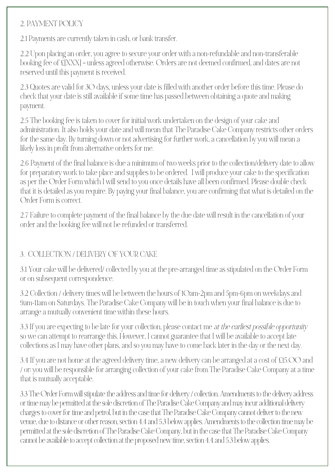### 2. PAYMENT POLICY

2.1 Payments are currently taken in cash, or bank transfer.

2.2 Upon placing an order, you agree to secure your order with a non-refundable and non-transferable booking fee of £[XXX] – unless agreed otherwise. Orders are not deemed confirmed, and dates are not reserved until this payment is received.

2.3 Quotes are valid for 30 days, unless your date is filled with another order before this time. Please do check that your date is still available if some time has passed between obtaining a quote and making payment.

2.5 The booking fee is taken to cover for initial work undertaken on the design of your cake and administration. It also holds your date and will mean that The Paradise Cake Company restricts other orders for the same day. By turning down or not advertising for further work, a cancellation by you will mean a likely loss in profit from alternative orders for me.

2.6 Payment of the final balance is due a minimum of two weeks prior to the collection/delivery date to allow for preparatory work to take place and supplies to be ordered. I will produce your cake to the specification as per the Order Form which I will send to you once details have all been confirmed. Please double check that it is detailed as you require. By paying your final balance, you are confirming that what is detailed on the Order Form is correct.

2.7 Failure to complete payment of the final balance by the due date will result in the cancellation of your order and the booking fee will not be refunded or transferred.

## 3. COLLECTION / DELIVERY OF YOUR CAKE

3.1 Your cake will be delivered/ collected by you at the pre-arranged time as stipulated on the Order Form or on subsequent correspondence.

3.2 Collection / delivery times will be between the hours of 10am-2pm and 5pm-6pm on weekdays and 9am-11am on Saturdays. The Paradise Cake Company will be in touch when your final balance is due to arrange a mutually convenient time within these hours.

3.3 If you are expecting to be late for your collection, please contact me *at the earliest possible opportunity* so we can attempt to rearrange this. However, I cannot guarantee that I will be available to accept late collections as I may have other plans, and so you may have to come back later in the day or the next day.

3.4 If you are not home at the agreed delivery time, a new delivery can be arranged at a cost of £15.00 and / or: you will be responsible for arranging collection of your cake from The Paradise Cake Company at a time that is mutually acceptable.

3.3 The Order Form will stipulate the address and time for delivery / collection. Amendments to the delivery address or time may be permitted at the sole discretion of The Paradise Cake Company and may incur additional delivery charges to cover for time and petrol, but in the case that The Paradise Cake Company cannot deliver to the new venue, due to distance or other reason, section 4.4 and 5.3 below applies. Amendments to the collection time may be permitted at the sole discretion of The Paradise Cake Company, but in the case that The Paradise Cake Company cannot be available to accept collection at the proposed new time, section 4.4 and 5.3 below applies.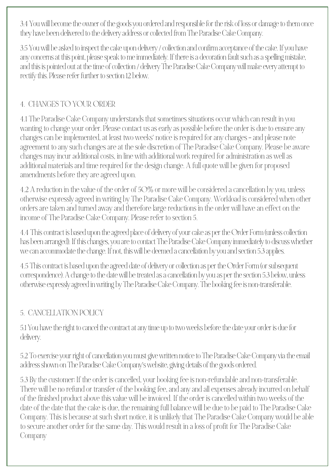3.4 You will become the owner of the goods you ordered and responsible for the risk of loss or damage to them once they have been delivered to the delivery address or collected from The Paradise Cake Company.

3.5 You will be asked to inspect the cake upon delivery / collection and confirm acceptance of the cake. If you have any concerns at this point, please speak to me immediately. If there is a decoration fault such as a spelling mistake, and this is pointed out at the time of collection / delivery The Paradise Cake Company will make every attempt to rectify this. Please refer further to section 12 below.

## 4. CHANGES TO YOUR ORDER

4.1 The Paradise Cake Company understands that sometimes situations occur which can result in you wanting to change your order. Please contact us as early as possible before the order is due to ensure any changes can be implemented, at least two weeks' notice is required for any changes – and please note agreement to any such changes are at the sole discretion of The Paradise Cake Company. Please be aware changes may incur additional costs, in line with additional work required for administration as well as additional materials and time required for the design change. A full quote will be given for proposed amendments before they are agreed upon.

4.2 A reduction in the value of the order of 50% or more will be considered a cancellation by you, unless otherwise expressly agreed in writing by The Paradise Cake Company. Workload is considered when other orders are taken and turned away and therefore large reductions in the order will have an effect on the income of The Paradise Cake Company. Please refer to section 5.

4.4 This contract is based upon the agreed place of delivery of your cake as per the Order Form (unless collection has been arranged). If this changes, you are to contact The Paradise Cake Company immediately to discuss whether we can accommodate the change. If not, this will be deemed a cancellation by you and section 5.3 applies.

4.5 This contract is based upon the agreed date of delivery or collection as per the Order Form (or subsequent correspondence). A change to the date will be treated as a cancellation by you as per the section 5.3 below, unless otherwise expressly agreed in writing by The Paradise Cake Company. The booking fee is non-transferable.

#### 5. CANCELLATION POLICY

5.1 You have the right to cancel the contract at any time up to two weeks before the date your order is due for delivery.

5.2 To exercise your right of cancellation you must give written notice to The Paradise Cake Company via the email address shown on The Paradise Cake Company's website, giving details of the goods ordered.

5.3 By the customer: If the order is cancelled, your booking fee is non-refundable and non-transferable. There will be no refund or transfer of the booking fee, and any and all expenses already incurred on behalf of the finished product above this value will be invoiced. If the order is cancelled within two weeks of the date of the date that the cake is due, the remaining full balance will be due to be paid to The Paradise Cake Company. This is because at such short notice, it is unlikely that The Paradise Cake Company would be able to secure another order for the same day. This would result in a loss of profit for The Paradise Cake Company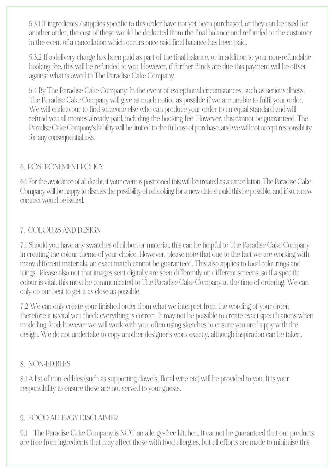5.3.1 If ingredients / supplies specific to this order have not yet been purchased, or they can be used for another order, the cost of these would be deducted from the final balance and refunded to the customer in the event of a cancellation which occurs once said final balance has been paid.

5.3.2 If a delivery charge has been paid as part of the final balance, or in addition to your non-refundable booking fee, this will be refunded to you. However, if further funds are due this payment will be offset against what is owed to The Paradise Cake Company.

5.4 By The Paradise Cake Company: In the event of exceptional circumstances, such as serious illness, The Paradise Cake Company will give as much notice as possible if we are unable to fulfil your order. We will endeavour to find someone else who can produce your order to an equal standard and will refund you all monies already paid, including the booking fee. However, this cannot be guaranteed. The Paradise Cake Company's liability will be limited to the full cost of purchase, and we will not accept responsibility for any consequential loss.

#### 6. POSTPONEMENT POLICY

6.1 For the avoidance of all doubt, if your event is postponed this will be treated as a cancellation. The Paradise Cake Company will be happy to discuss the possibility of rebooking for a new date should this be possible, and if so, a new contract would be issued.

#### 7. COLOURS AND DESIGN

7.1 Should you have any swatches of ribbon or material; this can be helpful to The Paradise Cake Company in creating the colour theme of your choice. However, please note that due to the fact we are working with many different materials, an exact match cannot be guaranteed. This also applies to food colourings and icings. Please also not that images sent digitally are seen differently on different screens, so if a specific colour is vital, this must be communicated to The Paradise Cake Company at the time of ordering. We can only do our best to get it as close as possible.

7.2 We can only create your finished order from what we interpret from the wording of your order; therefore it is vital you check everything is correct. It may not be possible to create exact specifications when modelling food; however we will work with you, often using sketches to ensure you are happy with the design. We do not undertake to copy another designer's work exactly, although inspiration can be taken.

#### 8. NON-EDIBLES

8.1 A list of non-edibles (such as supporting dowels, floral wire etc) will be provided to you. It is your responsibility to ensure these are not served to your guests.

#### 9. FOOD ALLERGY DISCLAIMER

9.1 The Paradise Cake Company is NOT an allergy-free kitchen. It cannot be guaranteed that our products are free from ingredients that may affect those with food allergies, but all efforts are made to minimise this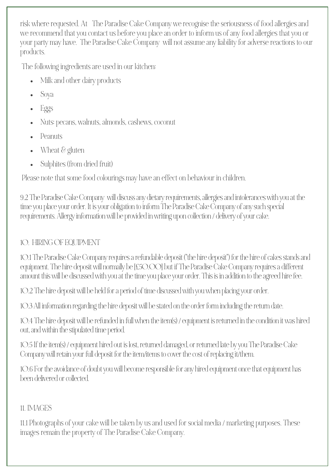risk where requested. At The Paradise Cake Company we recognise the seriousness of food allergies and we recommend that you contact us before you place an order to inform us of any food allergies that you or your party may have. The Paradise Cake Company will not assume any liability for adverse reactions to our products.

The following ingredients are used in our kitchen:

- Milk and other dairy products
- Soya
- Eggs
- Nuts: pecans, walnuts, almonds, cashews, coconut
- Peanuts
- Wheat & gluten
- Sulphites (from dried fruit)

Please note that some food colourings may have an effect on behaviour in children.

9.2 The Paradise Cake Company will discuss any dietary requirements, allergies and intolerances with you at the time you place your order. It is your obligation to inform The Paradise Cake Company of any such special requirements. Allergy information will be provided in writing upon collection / delivery of your cake.

# 10. HIRING OF EQUIPMENT

10.1 The Paradise Cake Company requires a refundable deposit ("the hire deposit") for the hire of cakes stands and equipment. The hire deposit will normally be [£50.00] but if The Paradise Cake Company requires a different amount this will be discussed with you at the time you place your order. This is in addition to the agreed hire fee.

10.2 The hire deposit will be held for a period of time discussed with you when placing your order.

10.3 All information regarding the hire deposit will be stated on the order form including the return date.

10.4 The hire deposit will be refunded in full when the item(s) / equipment is returned in the condition it was hired out, and within the stipulated time period.

10.5 If the item(s) / equipment hired out is lost, returned damaged, or returned late by you The Paradise Cake Company will retain your full deposit for the item/items to cover the cost of replacing it/them.

10.6 For the avoidance of doubt you will become responsible for any hired equipment once that equipment has been delivered or collected.

# 11. IMAGES

11.1 Photographs of your cake will be taken by us and used for social media / marketing purposes. These images remain the property of The Paradise Cake Company.